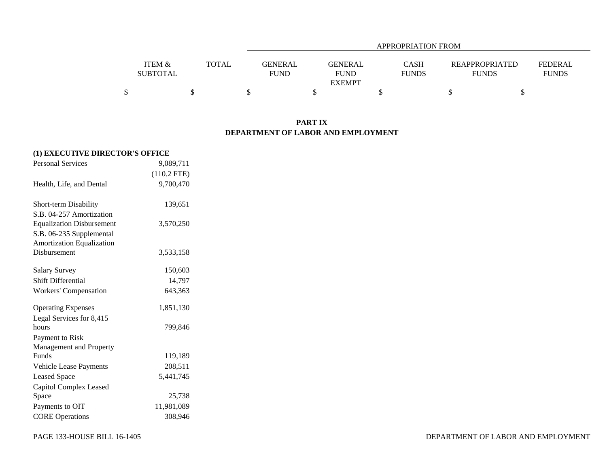|                   |              |                | APPROPRIATION FROM |              |                       |                |  |  |  |  |  |
|-------------------|--------------|----------------|--------------------|--------------|-----------------------|----------------|--|--|--|--|--|
| <b>ITEM &amp;</b> | <b>TOTAL</b> | <b>GENERAL</b> | <b>GENERAL</b>     | CASH         | <b>REAPPROPRIATED</b> | <b>FEDERAL</b> |  |  |  |  |  |
| <b>SUBTOTAL</b>   |              | FUND           | <b>FUND</b>        | <b>FUNDS</b> | <b>FUNDS</b>          | <b>FUNDS</b>   |  |  |  |  |  |
|                   |              |                | <b>EXEMPT</b>      |              |                       |                |  |  |  |  |  |
|                   |              |                |                    |              |                       |                |  |  |  |  |  |

## **PART IX DEPARTMENT OF LABOR AND EMPLOYMENT**

| (1) EXECUTIVE DIRECTOR'S OFFICE  |               |  |  |  |  |  |  |  |  |
|----------------------------------|---------------|--|--|--|--|--|--|--|--|
| <b>Personal Services</b>         | 9,089,711     |  |  |  |  |  |  |  |  |
|                                  | $(110.2$ FTE) |  |  |  |  |  |  |  |  |
| Health, Life, and Dental         | 9,700,470     |  |  |  |  |  |  |  |  |
| <b>Short-term Disability</b>     | 139,651       |  |  |  |  |  |  |  |  |
| S.B. 04-257 Amortization         |               |  |  |  |  |  |  |  |  |
| <b>Equalization Disbursement</b> | 3,570,250     |  |  |  |  |  |  |  |  |
| S.B. 06-235 Supplemental         |               |  |  |  |  |  |  |  |  |
| Amortization Equalization        |               |  |  |  |  |  |  |  |  |
| <b>Disbursement</b>              | 3,533,158     |  |  |  |  |  |  |  |  |
| <b>Salary Survey</b>             | 150,603       |  |  |  |  |  |  |  |  |
| <b>Shift Differential</b>        | 14,797        |  |  |  |  |  |  |  |  |
| <b>Workers' Compensation</b>     | 643,363       |  |  |  |  |  |  |  |  |
| <b>Operating Expenses</b>        | 1,851,130     |  |  |  |  |  |  |  |  |
| Legal Services for 8,415         |               |  |  |  |  |  |  |  |  |
| hours                            | 799,846       |  |  |  |  |  |  |  |  |
| Payment to Risk                  |               |  |  |  |  |  |  |  |  |
| Management and Property          |               |  |  |  |  |  |  |  |  |
| Funds                            | 119,189       |  |  |  |  |  |  |  |  |
| Vehicle Lease Payments           | 208,511       |  |  |  |  |  |  |  |  |
| <b>Leased Space</b>              | 5,441,745     |  |  |  |  |  |  |  |  |
| Capitol Complex Leased           |               |  |  |  |  |  |  |  |  |
| Space                            | 25,738        |  |  |  |  |  |  |  |  |
| Payments to OIT                  | 11,981,089    |  |  |  |  |  |  |  |  |
| <b>CORE Operations</b>           | 308,946       |  |  |  |  |  |  |  |  |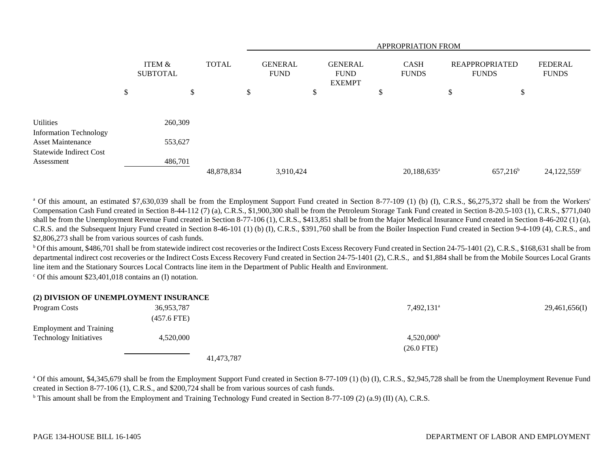|                                                                                                          |                           |                    |              |            |                               | <b>APPROPRIATION FROM</b> |                                                |  |                             |                                       |    |                                |                           |  |
|----------------------------------------------------------------------------------------------------------|---------------------------|--------------------|--------------|------------|-------------------------------|---------------------------|------------------------------------------------|--|-----------------------------|---------------------------------------|----|--------------------------------|---------------------------|--|
|                                                                                                          | ITEM &<br><b>SUBTOTAL</b> |                    | <b>TOTAL</b> |            | <b>GENERAL</b><br><b>FUND</b> |                           | <b>GENERAL</b><br><b>FUND</b><br><b>EXEMPT</b> |  | <b>CASH</b><br><b>FUNDS</b> | <b>REAPPROPRIATED</b><br><b>FUNDS</b> |    | <b>FEDERAL</b><br><b>FUNDS</b> |                           |  |
|                                                                                                          | \$                        |                    | \$           |            | \$                            |                           | \$                                             |  | J.                          |                                       | \$ | \$                             |                           |  |
| Utilities<br><b>Information Technology</b><br><b>Asset Maintenance</b><br><b>Statewide Indirect Cost</b> |                           | 260,309<br>553,627 |              |            |                               |                           |                                                |  |                             |                                       |    |                                |                           |  |
| Assessment                                                                                               |                           | 486,701            |              | 48,878,834 |                               | 3,910,424                 |                                                |  |                             | $20,188,635^a$                        |    | $657,216^b$                    | $24,122,559$ <sup>c</sup> |  |
|                                                                                                          |                           |                    |              |            |                               |                           |                                                |  |                             |                                       |    |                                |                           |  |

<sup>a</sup> Of this amount, an estimated \$7,630,039 shall be from the Employment Support Fund created in Section 8-77-109 (1) (b) (I), C.R.S., \$6,275,372 shall be from the Workers' Compensation Cash Fund created in Section 8-44-112 (7) (a), C.R.S., \$1,900,300 shall be from the Petroleum Storage Tank Fund created in Section 8-20.5-103 (1), C.R.S., \$771,040 shall be from the Unemployment Revenue Fund created in Section 8-77-106 (1), C.R.S., \$413,851 shall be from the Major Medical Insurance Fund created in Section 8-46-202 (1) (a), C.R.S. and the Subsequent Injury Fund created in Section 8-46-101 (1) (b) (I), C.R.S., \$391,760 shall be from the Boiler Inspection Fund created in Section 9-4-109 (4), C.R.S., and \$2,806,273 shall be from various sources of cash funds.

 $^{\rm b}$  Of this amount, \$486,701 shall be from statewide indirect cost recoveries or the Indirect Costs Excess Recovery Fund created in Section 24-75-1401 (2), C.R.S., \$168,631 shall be from departmental indirect cost recoveries or the Indirect Costs Excess Recovery Fund created in Section 24-75-1401 (2), C.R.S., and \$1,884 shall be from the Mobile Sources Local Grants line item and the Stationary Sources Local Contracts line item in the Department of Public Health and Environment.

 $\degree$  Of this amount \$23,401,018 contains an (I) notation.

#### **(2) DIVISION OF UNEMPLOYMENT INSURANCE**

| Program Costs                  | 36,953,787        | 7,492,131 <sup>a</sup> | 29,461,656(I) |
|--------------------------------|-------------------|------------------------|---------------|
|                                | $(457.6$ FTE)     |                        |               |
| <b>Employment and Training</b> |                   |                        |               |
| <b>Technology Initiatives</b>  | 4,520,000         | $4,520,000^{\rm b}$    |               |
|                                |                   | $(26.0 \text{ FTE})$   |               |
|                                | $\cdots$ $\cdots$ |                        |               |

41,473,787

<sup>a</sup> Of this amount, \$4,345,679 shall be from the Employment Support Fund created in Section 8-77-109 (1) (b) (I), C.R.S., \$2,945,728 shall be from the Unemployment Revenue Fund created in Section 8-77-106 (1), C.R.S., and \$200,724 shall be from various sources of cash funds.

<sup>b</sup> This amount shall be from the Employment and Training Technology Fund created in Section 8-77-109 (2) (a.9) (II) (A), C.R.S.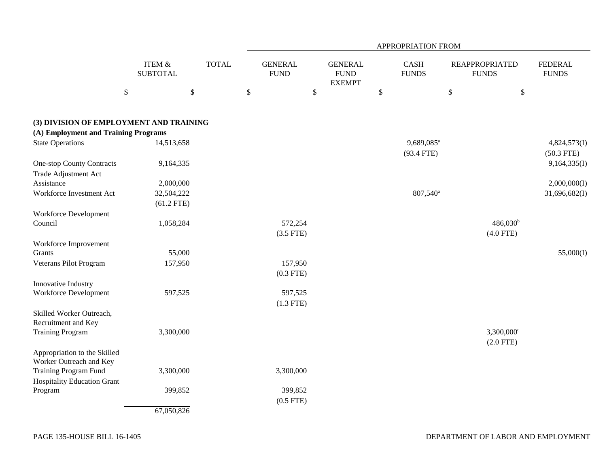|                                                             |                                      |              | APPROPRIATION FROM            |         |                                                |    |                                        |                                       |                                |  |  |
|-------------------------------------------------------------|--------------------------------------|--------------|-------------------------------|---------|------------------------------------------------|----|----------------------------------------|---------------------------------------|--------------------------------|--|--|
|                                                             | <b>ITEM &amp;</b><br><b>SUBTOTAL</b> | <b>TOTAL</b> | <b>GENERAL</b><br><b>FUND</b> |         | <b>GENERAL</b><br><b>FUND</b><br><b>EXEMPT</b> |    | <b>CASH</b><br><b>FUNDS</b>            | <b>REAPPROPRIATED</b><br><b>FUNDS</b> | <b>FEDERAL</b><br><b>FUNDS</b> |  |  |
| \$                                                          |                                      | $\mathbb{S}$ | $\$$                          | $\$$    |                                                | \$ |                                        | $\$$                                  | \$                             |  |  |
| (3) DIVISION OF EMPLOYMENT AND TRAINING                     |                                      |              |                               |         |                                                |    |                                        |                                       |                                |  |  |
| (A) Employment and Training Programs                        |                                      |              |                               |         |                                                |    |                                        |                                       |                                |  |  |
| <b>State Operations</b>                                     | 14,513,658                           |              |                               |         |                                                |    | 9,689,085 <sup>a</sup><br>$(93.4$ FTE) |                                       | 4,824,573(I)<br>$(50.3$ FTE)   |  |  |
| <b>One-stop County Contracts</b><br>Trade Adjustment Act    | 9,164,335                            |              |                               |         |                                                |    |                                        |                                       | 9,164,335(I)                   |  |  |
| Assistance                                                  | 2,000,000                            |              |                               |         |                                                |    |                                        |                                       | 2,000,000(I)                   |  |  |
| Workforce Investment Act                                    | 32,504,222                           |              |                               |         |                                                |    | 807,540 <sup>a</sup>                   |                                       | 31,696,682(I)                  |  |  |
|                                                             | $(61.2$ FTE)                         |              |                               |         |                                                |    |                                        |                                       |                                |  |  |
| <b>Workforce Development</b>                                |                                      |              |                               |         |                                                |    |                                        |                                       |                                |  |  |
| Council                                                     | 1,058,284                            |              |                               | 572,254 |                                                |    |                                        | $486,030^{\rm b}$                     |                                |  |  |
|                                                             |                                      |              | $(3.5$ FTE)                   |         |                                                |    |                                        | $(4.0$ FTE)                           |                                |  |  |
| Workforce Improvement                                       |                                      |              |                               |         |                                                |    |                                        |                                       |                                |  |  |
| Grants                                                      | 55,000                               |              |                               |         |                                                |    |                                        |                                       | 55,000(I)                      |  |  |
| Veterans Pilot Program                                      | 157,950                              |              |                               | 157,950 |                                                |    |                                        |                                       |                                |  |  |
|                                                             |                                      |              | $(0.3$ FTE)                   |         |                                                |    |                                        |                                       |                                |  |  |
| Innovative Industry<br><b>Workforce Development</b>         | 597,525                              |              |                               | 597,525 |                                                |    |                                        |                                       |                                |  |  |
|                                                             |                                      |              | $(1.3$ FTE)                   |         |                                                |    |                                        |                                       |                                |  |  |
| Skilled Worker Outreach,<br>Recruitment and Key             |                                      |              |                               |         |                                                |    |                                        |                                       |                                |  |  |
| <b>Training Program</b>                                     | 3,300,000                            |              |                               |         |                                                |    |                                        | $3,300,000^{\circ}$<br>$(2.0$ FTE)    |                                |  |  |
| Appropriation to the Skilled<br>Worker Outreach and Key     |                                      |              |                               |         |                                                |    |                                        |                                       |                                |  |  |
| Training Program Fund<br><b>Hospitality Education Grant</b> | 3,300,000                            |              | 3,300,000                     |         |                                                |    |                                        |                                       |                                |  |  |
| Program                                                     | 399,852                              |              | $(0.5$ FTE)                   | 399,852 |                                                |    |                                        |                                       |                                |  |  |
|                                                             | 67,050,826                           |              |                               |         |                                                |    |                                        |                                       |                                |  |  |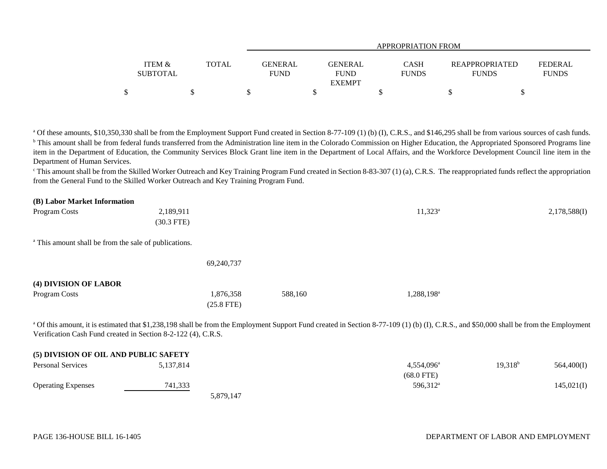|                   |       | APPROPRIATION FROM |                |              |                |                |  |  |  |  |
|-------------------|-------|--------------------|----------------|--------------|----------------|----------------|--|--|--|--|
|                   |       |                    |                |              |                |                |  |  |  |  |
| <b>ITEM &amp;</b> | TOTAL | GENERAL            | <b>GENERAL</b> | CASH         | REAPPROPRIATED | <b>FEDERAL</b> |  |  |  |  |
| <b>SUBTOTAL</b>   |       | <b>FUND</b>        | <b>FUND</b>    | <b>FUNDS</b> | <b>FUNDS</b>   | <b>FUNDS</b>   |  |  |  |  |
|                   |       |                    | <b>EXEMPT</b>  |              |                |                |  |  |  |  |
|                   |       |                    |                |              |                |                |  |  |  |  |

<sup>a</sup> Of these amounts, \$10,350,330 shall be from the Employment Support Fund created in Section 8-77-109 (1) (b) (I), C.R.S., and \$146,295 shall be from various sources of cash funds. <sup>b</sup> This amount shall be from federal funds transferred from the Administration line item in the Colorado Commission on Higher Education, the Appropriated Sponsored Programs line item in the Department of Education, the Community Services Block Grant line item in the Department of Local Affairs, and the Workforce Development Council line item in the Department of Human Services.

 $\degree$ This amount shall be from the Skilled Worker Outreach and Key Training Program Fund created in Section 8-83-307 (1) (a), C.R.S. The reappropriated funds reflect the appropriation from the General Fund to the Skilled Worker Outreach and Key Training Program Fund.

#### **(B) Labor Market Information**

| Program Costs                                                    | 2,189,911    |              |         | $11,323^a$             | 2,178,588(I) |
|------------------------------------------------------------------|--------------|--------------|---------|------------------------|--------------|
|                                                                  | $(30.3$ FTE) |              |         |                        |              |
| <sup>a</sup> This amount shall be from the sale of publications. |              |              |         |                        |              |
|                                                                  |              | 69,240,737   |         |                        |              |
| (4) DIVISION OF LABOR                                            |              |              |         |                        |              |
| Program Costs                                                    |              | 1,876,358    | 588,160 | 1,288,198 <sup>a</sup> |              |
|                                                                  |              | $(25.8$ FTE) |         |                        |              |

<sup>a</sup> Of this amount, it is estimated that \$1,238,198 shall be from the Employment Support Fund created in Section 8-77-109 (1) (b) (I), C.R.S., and \$50,000 shall be from the Employment Verification Cash Fund created in Section 8-2-122 (4), C.R.S.

| (5) DIVISION OF OIL AND PUBLIC SAFETY |           |           |                      |            |            |
|---------------------------------------|-----------|-----------|----------------------|------------|------------|
| <b>Personal Services</b>              | 5,137,814 |           | $4.554.096^{\circ}$  | $19,318^b$ | 564,400(I) |
|                                       |           |           | $(68.0$ FTE)         |            |            |
| <b>Operating Expenses</b>             | 741,333   |           | 596,312 <sup>a</sup> |            | 145,021(I) |
|                                       |           | 5,879,147 |                      |            |            |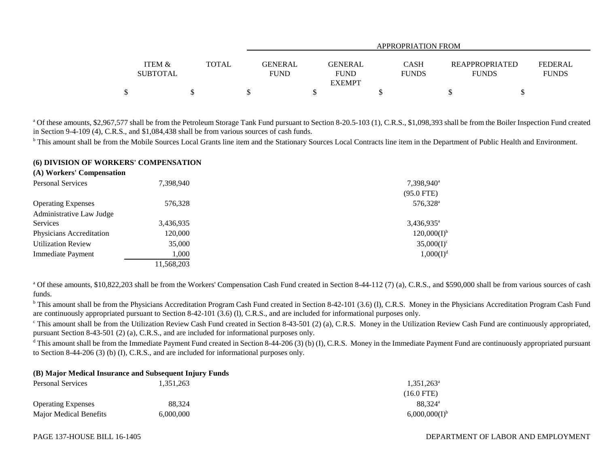|                           |              |                        | APPROPRIATION FROM                             |                      |                                       |                                |  |  |  |  |  |
|---------------------------|--------------|------------------------|------------------------------------------------|----------------------|---------------------------------------|--------------------------------|--|--|--|--|--|
| ITEM &<br><b>SUBTOTAL</b> | <b>TOTAL</b> | GENERAL<br><b>FUND</b> | <b>GENERAL</b><br><b>FUND</b><br><b>EXEMPT</b> | CASH<br><b>FUNDS</b> | <b>REAPPROPRIATED</b><br><b>FUNDS</b> | <b>FEDERAL</b><br><b>FUNDS</b> |  |  |  |  |  |
| \$                        |              |                        |                                                |                      |                                       |                                |  |  |  |  |  |

<sup>a</sup> Of these amounts, \$2,967,577 shall be from the Petroleum Storage Tank Fund pursuant to Section 8-20.5-103 (1), C.R.S., \$1,098,393 shall be from the Boiler Inspection Fund created in Section 9-4-109 (4), C.R.S., and \$1,084,438 shall be from various sources of cash funds.

<sup>b</sup> This amount shall be from the Mobile Sources Local Grants line item and the Stationary Sources Local Contracts line item in the Department of Public Health and Environment.

#### **(6) DIVISION OF WORKERS' COMPENSATION**

| (A) Workers' Compensation |            |                        |
|---------------------------|------------|------------------------|
| <b>Personal Services</b>  | 7,398,940  | 7,398,940 <sup>a</sup> |
|                           |            | $(95.0$ FTE)           |
| <b>Operating Expenses</b> | 576,328    | 576,328 <sup>a</sup>   |
| Administrative Law Judge  |            |                        |
| Services                  | 3,436,935  | $3,436,935^{\circ}$    |
| Physicians Accreditation  | 120,000    | $120,000(I)^{b}$       |
| <b>Utilization Review</b> | 35,000     | $35,000(I)^c$          |
| Immediate Payment         | 1.000      | $1,000(I)^d$           |
|                           | 11,568,203 |                        |

<sup>a</sup> Of these amounts, \$10,822,203 shall be from the Workers' Compensation Cash Fund created in Section 8-44-112 (7) (a), C.R.S., and \$590,000 shall be from various sources of cash funds.

<sup>b</sup> This amount shall be from the Physicians Accreditation Program Cash Fund created in Section 8-42-101 (3.6) (1), C.R.S. Money in the Physicians Accreditation Program Cash Fund are continuously appropriated pursuant to Section 8-42-101 (3.6) (l), C.R.S., and are included for informational purposes only.

 $\degree$  This amount shall be from the Utilization Review Cash Fund created in Section 8-43-501 (2) (a), C.R.S. Money in the Utilization Review Cash Fund are continuously appropriated, pursuant Section 8-43-501 (2) (a), C.R.S., and are included for informational purposes only.

<sup>d</sup> This amount shall be from the Immediate Payment Fund created in Section 8-44-206 (3) (b) (I), C.R.S. Money in the Immediate Payment Fund are continuously appropriated pursuant to Section 8-44-206 (3) (b) (I), C.R.S., and are included for informational purposes only.

### **(B) Major Medical Insurance and Subsequent Injury Funds**

| <b>Personal Services</b>      | 1,351,263 | $1,351,263^{\circ}$ |
|-------------------------------|-----------|---------------------|
|                               |           | $(16.0$ FTE)        |
| <b>Operating Expenses</b>     | 88.324    | 88.324 <sup>a</sup> |
| <b>Major Medical Benefits</b> | 6,000,000 | $6,000,000(I)^{t}$  |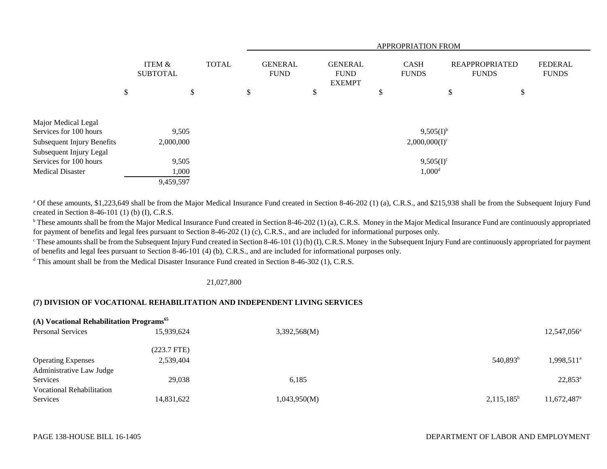|                                                              |    |                           |    |  |    | <b>APPROPRIATION FROM</b> |    |                               |   |                                                |    |                             |                                       |  |                                |
|--------------------------------------------------------------|----|---------------------------|----|--|----|---------------------------|----|-------------------------------|---|------------------------------------------------|----|-----------------------------|---------------------------------------|--|--------------------------------|
|                                                              |    | ITEM &<br><b>SUBTOTAL</b> |    |  |    | <b>TOTAL</b>              |    | <b>GENERAL</b><br><b>FUND</b> |   | <b>GENERAL</b><br><b>FUND</b><br><b>EXEMPT</b> |    | <b>CASH</b><br><b>FUNDS</b> | <b>REAPPROPRIATED</b><br><b>FUNDS</b> |  | <b>FEDERAL</b><br><b>FUNDS</b> |
|                                                              | \$ |                           | \$ |  | \$ |                           | \$ |                               | S |                                                | \$ | \$                          |                                       |  |                                |
| Major Medical Legal<br>Services for 100 hours                |    | 9,505                     |    |  |    |                           |    |                               |   | $9,505(1)$ <sup>b</sup>                        |    |                             |                                       |  |                                |
| <b>Subsequent Injury Benefits</b><br>Subsequent Injury Legal |    | 2,000,000                 |    |  |    |                           |    |                               |   | $2,000,000(I)^c$                               |    |                             |                                       |  |                                |
| Services for 100 hours                                       |    | 9,505                     |    |  |    |                           |    |                               |   | $9,505(I)^c$                                   |    |                             |                                       |  |                                |
| <b>Medical Disaster</b>                                      |    | 1,000                     |    |  |    |                           |    |                               |   | $1,000^d$                                      |    |                             |                                       |  |                                |
|                                                              |    | 9,459,597                 |    |  |    |                           |    |                               |   |                                                |    |                             |                                       |  |                                |

<sup>a</sup> Of these amounts, \$1,223,649 shall be from the Major Medical Insurance Fund created in Section 8-46-202 (1) (a), C.R.S., and \$215,938 shall be from the Subsequent Injury Fund created in Section 8-46-101 (1) (b) (I), C.R.S.

<sup>b</sup> These amounts shall be from the Major Medical Insurance Fund created in Section 8-46-202 (1) (a), C.R.S. Money in the Major Medical Insurance Fund are continuously appropriated for payment of benefits and legal fees pursuant to Section 8-46-202 (1) (c), C.R.S., and are included for informational purposes only.

 $^{\circ}$  These amounts shall be from the Subsequent Injury Fund created in Section 8-46-101 (1) (b) (I), C.R.S. Money in the Subsequent Injury Fund are continuously appropriated for payment of benefits and legal fees pursuant to Section 8-46-101 (4) (b), C.R.S., and are included for informational purposes only.

<sup>d</sup> This amount shall be from the Medical Disaster Insurance Fund created in Section 8-46-302 (1), C.R.S.

#### 21,027,800

# **(7) DIVISION OF VOCATIONAL REHABILITATION AND INDEPENDENT LIVING SERVICES**

| (A) Vocational Rehabilitation Programs <sup>65</sup> |             |              |                      |                         |  |  |  |  |
|------------------------------------------------------|-------------|--------------|----------------------|-------------------------|--|--|--|--|
| <b>Personal Services</b>                             | 15,939,624  | 3,392,568(M) |                      | $12,547,056^{\circ}$    |  |  |  |  |
|                                                      | (223.7 FTE) |              |                      |                         |  |  |  |  |
| <b>Operating Expenses</b>                            | 2,539,404   |              | 540,893 <sup>b</sup> | 1,998,511 <sup>a</sup>  |  |  |  |  |
| Administrative Law Judge                             |             |              |                      |                         |  |  |  |  |
| Services                                             | 29,038      | 6,185        |                      | $22,853^{\rm a}$        |  |  |  |  |
| <b>Vocational Rehabilitation</b>                     |             |              |                      |                         |  |  |  |  |
| Services                                             | 14,831,622  | 1,043,950(M) | $2,115,185^b$        | 11,672,487 <sup>a</sup> |  |  |  |  |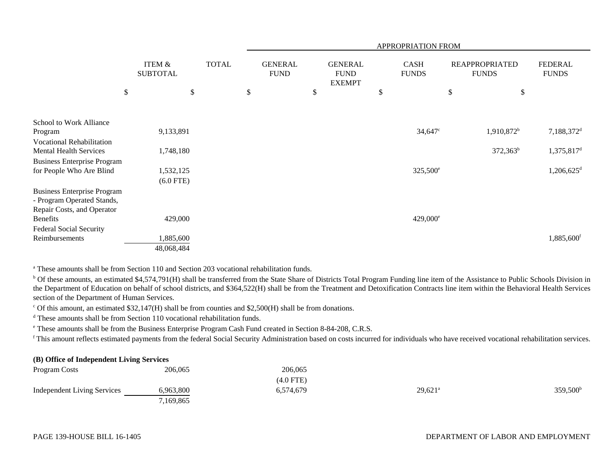|                                                                  |                                      |              |              | APPROPRIATION FROM            |    |                                                |    |                             |      |                                       |                                |
|------------------------------------------------------------------|--------------------------------------|--------------|--------------|-------------------------------|----|------------------------------------------------|----|-----------------------------|------|---------------------------------------|--------------------------------|
|                                                                  | <b>ITEM &amp;</b><br><b>SUBTOTAL</b> |              | <b>TOTAL</b> | <b>GENERAL</b><br><b>FUND</b> |    | <b>GENERAL</b><br><b>FUND</b><br><b>EXEMPT</b> |    | <b>CASH</b><br><b>FUNDS</b> |      | <b>REAPPROPRIATED</b><br><b>FUNDS</b> | <b>FEDERAL</b><br><b>FUNDS</b> |
|                                                                  | $\boldsymbol{\mathsf{S}}$            | $\mathbb{S}$ |              | \$                            | \$ |                                                | \$ |                             | $\$$ | \$                                    |                                |
|                                                                  |                                      |              |              |                               |    |                                                |    |                             |      |                                       |                                |
| School to Work Alliance                                          |                                      |              |              |                               |    |                                                |    |                             |      |                                       |                                |
| Program                                                          |                                      | 9,133,891    |              |                               |    |                                                |    | $34,647$ °                  |      | 1,910,872 <sup>b</sup>                | 7,188,372 <sup>d</sup>         |
| <b>Vocational Rehabilitation</b>                                 |                                      |              |              |                               |    |                                                |    |                             |      |                                       |                                |
| <b>Mental Health Services</b>                                    |                                      | 1,748,180    |              |                               |    |                                                |    |                             |      | $372,363^b$                           | 1,375,817 <sup>d</sup>         |
| <b>Business Enterprise Program</b>                               |                                      |              |              |                               |    |                                                |    |                             |      |                                       |                                |
| for People Who Are Blind                                         |                                      | 1,532,125    |              |                               |    |                                                |    | 325,500 <sup>e</sup>        |      |                                       | $1,206,625$ <sup>d</sup>       |
|                                                                  |                                      | $(6.0$ FTE)  |              |                               |    |                                                |    |                             |      |                                       |                                |
| <b>Business Enterprise Program</b><br>- Program Operated Stands, |                                      |              |              |                               |    |                                                |    |                             |      |                                       |                                |
| Repair Costs, and Operator                                       |                                      |              |              |                               |    |                                                |    |                             |      |                                       |                                |
| <b>Benefits</b>                                                  |                                      | 429,000      |              |                               |    |                                                |    | $429,000^{\circ}$           |      |                                       |                                |
| Federal Social Security                                          |                                      |              |              |                               |    |                                                |    |                             |      |                                       |                                |
| Reimbursements                                                   |                                      | 1,885,600    |              |                               |    |                                                |    |                             |      |                                       | 1,885,600 <sup>f</sup>         |
|                                                                  |                                      | 48,068,484   |              |                               |    |                                                |    |                             |      |                                       |                                |

<sup>a</sup> These amounts shall be from Section 110 and Section 203 vocational rehabilitation funds.

<sup>b</sup> Of these amounts, an estimated \$4,574,791(H) shall be transferred from the State Share of Districts Total Program Funding line item of the Assistance to Public Schools Division in the Department of Education on behalf of school districts, and \$364,522(H) shall be from the Treatment and Detoxification Contracts line item within the Behavioral Health Services section of the Department of Human Services.

 $\degree$  Of this amount, an estimated \$32,147(H) shall be from counties and \$2,500(H) shall be from donations.

<sup>d</sup> These amounts shall be from Section 110 vocational rehabilitation funds.

e These amounts shall be from the Business Enterprise Program Cash Fund created in Section 8-84-208, C.R.S.

f This amount reflects estimated payments from the federal Social Security Administration based on costs incurred for individuals who have received vocational rehabilitation services.

# **(B) Office of Independent Living Services**

| Program Costs                      | 206,065   | 206,065     |                       |                   |
|------------------------------------|-----------|-------------|-----------------------|-------------------|
|                                    |           | $(4.0$ FTE) |                       |                   |
| <b>Independent Living Services</b> | 6,963,800 | 6,574,679   | $29,621$ <sup>a</sup> | $359,500^{\rm b}$ |
|                                    | 7,169,865 |             |                       |                   |